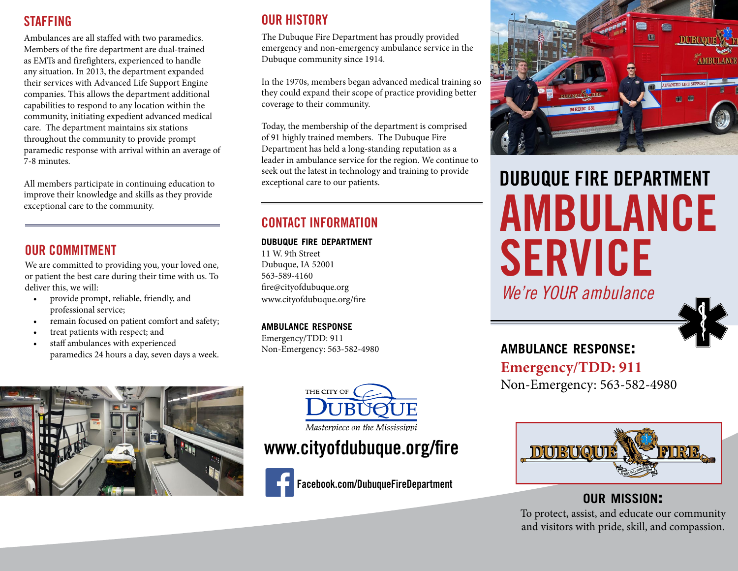## **STAFFING**

Ambulances are all staffed with two paramedics. Members of the fire department are dual-trained as EMTs and firefighters, experienced to handle any situation. In 2013, the department expanded their services with Advanced Life Support Engine companies. This allows the department additional capabilities to respond to any location within the community, initiating expedient advanced medical care. The department maintains six stations throughout the community to provide prompt paramedic response with arrival within an average of 7-8 minutes.

All members participate in continuing education to improve their knowledge and skills as they provide exceptional care to the community.

## OUR COMMITMENT

We are committed to providing you, your loved one, or patient the best care during their time with us. To deliver this, we will:

- provide prompt, reliable, friendly, and professional service;
- remain focused on patient comfort and safety;
- treat patients with respect; and
- staff ambulances with experienced paramedics 24 hours a day, seven days a week.



The Dubuque Fire Department has proudly provided emergency and non-emergency ambulance service in the Dubuque community since 1914.

In the 1970s, members began advanced medical training so they could expand their scope of practice providing better coverage to their community.

Today, the membership of the department is comprised of 91 highly trained members. The Dubuque Fire Department has held a long-standing reputation as a leader in ambulance service for the region. We continue to seek out the latest in technology and training to provide exceptional care to our patients.

## CONTACT INFORMATION

#### **dubuque fire department**

11 W. 9th Street Dubuque, IA 52001 563-589-4160 fire@cityofdubuque.org www.cityofdubuque.org/fire

#### **ambulance response**

Emergency/TDD: 911 Non-Emergency: 563-582-4980





Masterpiece on the Mississippi

# www.cityofdubuque.org/fire



Facebook.com/DubuqueFireDepartment



# DUBUQUE FIRE DEPARTMENT AMBULANCE SERVICE

*We're YOUR ambulance*



**ambulance response: Emergency/TDD: 911**  Non-Emergency: 563-582-4980



**our mission:**  To protect, assist, and educate our community and visitors with pride, skill, and compassion.